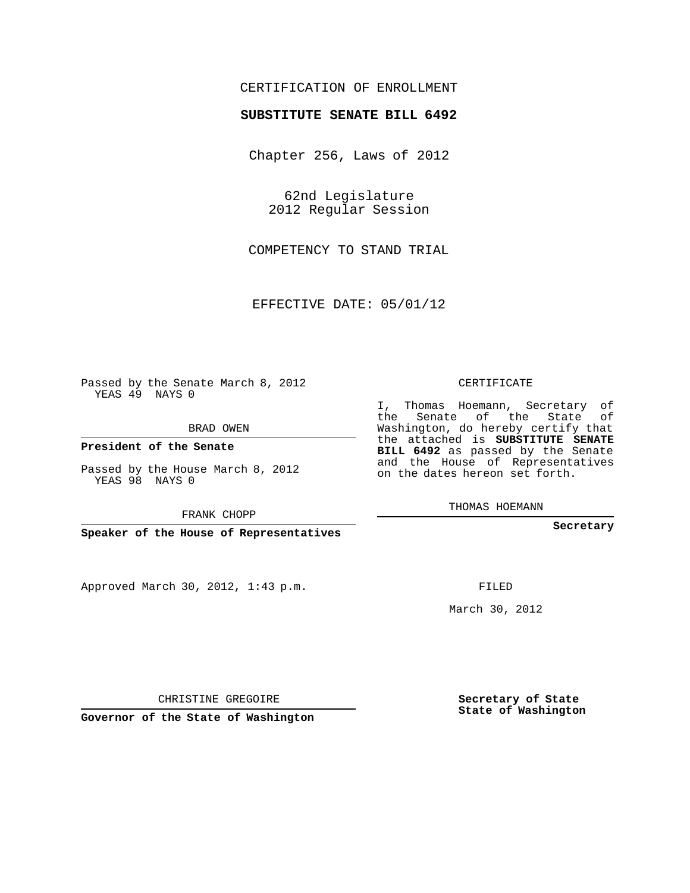## CERTIFICATION OF ENROLLMENT

## **SUBSTITUTE SENATE BILL 6492**

Chapter 256, Laws of 2012

62nd Legislature 2012 Regular Session

COMPETENCY TO STAND TRIAL

EFFECTIVE DATE: 05/01/12

Passed by the Senate March 8, 2012 YEAS 49 NAYS 0

BRAD OWEN

**President of the Senate**

Passed by the House March 8, 2012 YEAS 98 NAYS 0

FRANK CHOPP

**Speaker of the House of Representatives**

Approved March 30, 2012, 1:43 p.m.

CERTIFICATE

I, Thomas Hoemann, Secretary of the Senate of the State of Washington, do hereby certify that the attached is **SUBSTITUTE SENATE BILL 6492** as passed by the Senate and the House of Representatives on the dates hereon set forth.

THOMAS HOEMANN

**Secretary**

FILED

March 30, 2012

**Secretary of State State of Washington**

CHRISTINE GREGOIRE

**Governor of the State of Washington**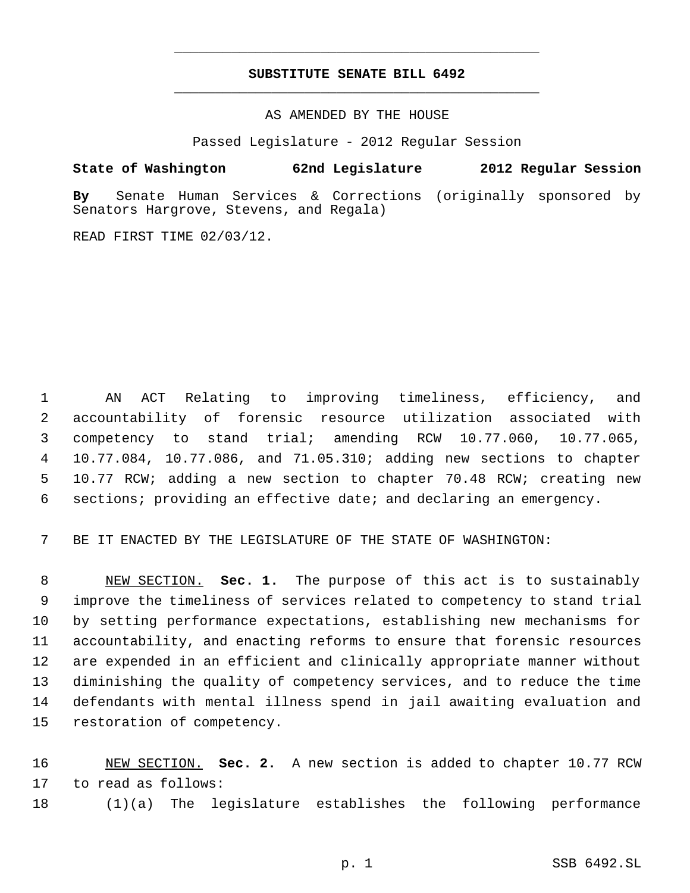## **SUBSTITUTE SENATE BILL 6492** \_\_\_\_\_\_\_\_\_\_\_\_\_\_\_\_\_\_\_\_\_\_\_\_\_\_\_\_\_\_\_\_\_\_\_\_\_\_\_\_\_\_\_\_\_

\_\_\_\_\_\_\_\_\_\_\_\_\_\_\_\_\_\_\_\_\_\_\_\_\_\_\_\_\_\_\_\_\_\_\_\_\_\_\_\_\_\_\_\_\_

AS AMENDED BY THE HOUSE

Passed Legislature - 2012 Regular Session

**State of Washington 62nd Legislature 2012 Regular Session**

**By** Senate Human Services & Corrections (originally sponsored by Senators Hargrove, Stevens, and Regala)

READ FIRST TIME 02/03/12.

 AN ACT Relating to improving timeliness, efficiency, and accountability of forensic resource utilization associated with competency to stand trial; amending RCW 10.77.060, 10.77.065, 10.77.084, 10.77.086, and 71.05.310; adding new sections to chapter 10.77 RCW; adding a new section to chapter 70.48 RCW; creating new sections; providing an effective date; and declaring an emergency.

BE IT ENACTED BY THE LEGISLATURE OF THE STATE OF WASHINGTON:

 NEW SECTION. **Sec. 1.** The purpose of this act is to sustainably improve the timeliness of services related to competency to stand trial by setting performance expectations, establishing new mechanisms for accountability, and enacting reforms to ensure that forensic resources are expended in an efficient and clinically appropriate manner without diminishing the quality of competency services, and to reduce the time defendants with mental illness spend in jail awaiting evaluation and restoration of competency.

 NEW SECTION. **Sec. 2.** A new section is added to chapter 10.77 RCW to read as follows:

(1)(a) The legislature establishes the following performance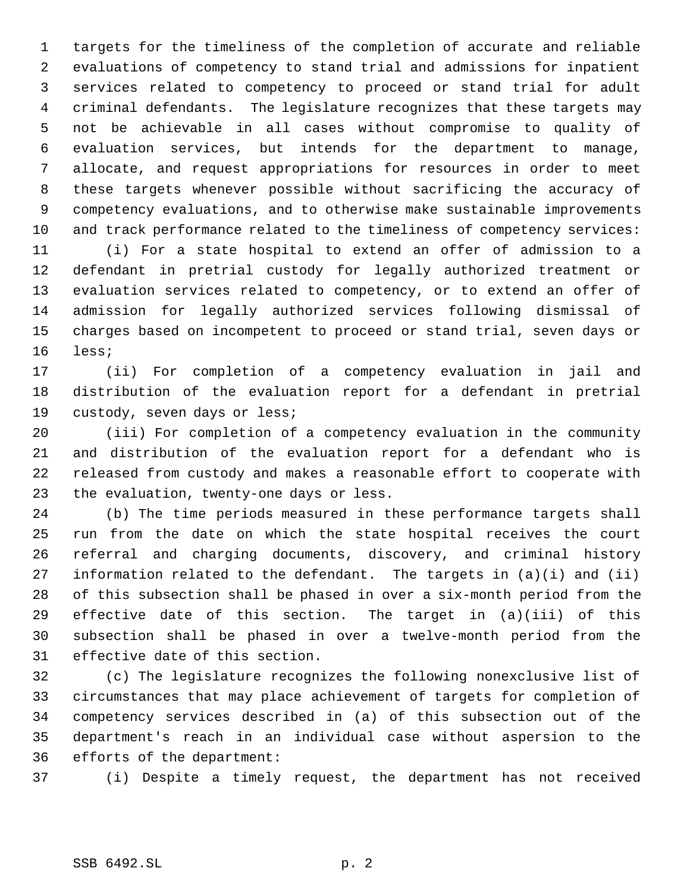targets for the timeliness of the completion of accurate and reliable evaluations of competency to stand trial and admissions for inpatient services related to competency to proceed or stand trial for adult criminal defendants. The legislature recognizes that these targets may not be achievable in all cases without compromise to quality of evaluation services, but intends for the department to manage, allocate, and request appropriations for resources in order to meet these targets whenever possible without sacrificing the accuracy of competency evaluations, and to otherwise make sustainable improvements and track performance related to the timeliness of competency services:

 (i) For a state hospital to extend an offer of admission to a defendant in pretrial custody for legally authorized treatment or evaluation services related to competency, or to extend an offer of admission for legally authorized services following dismissal of charges based on incompetent to proceed or stand trial, seven days or less;

 (ii) For completion of a competency evaluation in jail and distribution of the evaluation report for a defendant in pretrial custody, seven days or less;

 (iii) For completion of a competency evaluation in the community and distribution of the evaluation report for a defendant who is released from custody and makes a reasonable effort to cooperate with the evaluation, twenty-one days or less.

 (b) The time periods measured in these performance targets shall run from the date on which the state hospital receives the court referral and charging documents, discovery, and criminal history information related to the defendant. The targets in (a)(i) and (ii) of this subsection shall be phased in over a six-month period from the effective date of this section. The target in (a)(iii) of this subsection shall be phased in over a twelve-month period from the effective date of this section.

 (c) The legislature recognizes the following nonexclusive list of circumstances that may place achievement of targets for completion of competency services described in (a) of this subsection out of the department's reach in an individual case without aspersion to the efforts of the department:

(i) Despite a timely request, the department has not received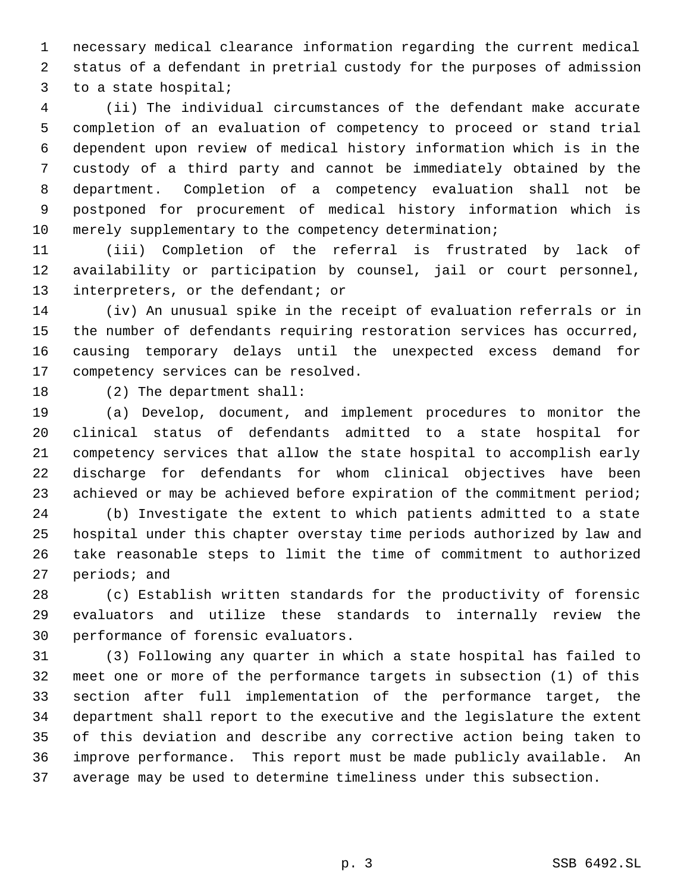necessary medical clearance information regarding the current medical status of a defendant in pretrial custody for the purposes of admission to a state hospital;

 (ii) The individual circumstances of the defendant make accurate completion of an evaluation of competency to proceed or stand trial dependent upon review of medical history information which is in the custody of a third party and cannot be immediately obtained by the department. Completion of a competency evaluation shall not be postponed for procurement of medical history information which is 10 merely supplementary to the competency determination;

 (iii) Completion of the referral is frustrated by lack of availability or participation by counsel, jail or court personnel, 13 interpreters, or the defendant; or

 (iv) An unusual spike in the receipt of evaluation referrals or in the number of defendants requiring restoration services has occurred, causing temporary delays until the unexpected excess demand for competency services can be resolved.

(2) The department shall:

 (a) Develop, document, and implement procedures to monitor the clinical status of defendants admitted to a state hospital for competency services that allow the state hospital to accomplish early discharge for defendants for whom clinical objectives have been 23 achieved or may be achieved before expiration of the commitment period;

 (b) Investigate the extent to which patients admitted to a state hospital under this chapter overstay time periods authorized by law and take reasonable steps to limit the time of commitment to authorized periods; and

 (c) Establish written standards for the productivity of forensic evaluators and utilize these standards to internally review the performance of forensic evaluators.

 (3) Following any quarter in which a state hospital has failed to meet one or more of the performance targets in subsection (1) of this section after full implementation of the performance target, the department shall report to the executive and the legislature the extent of this deviation and describe any corrective action being taken to improve performance. This report must be made publicly available. An average may be used to determine timeliness under this subsection.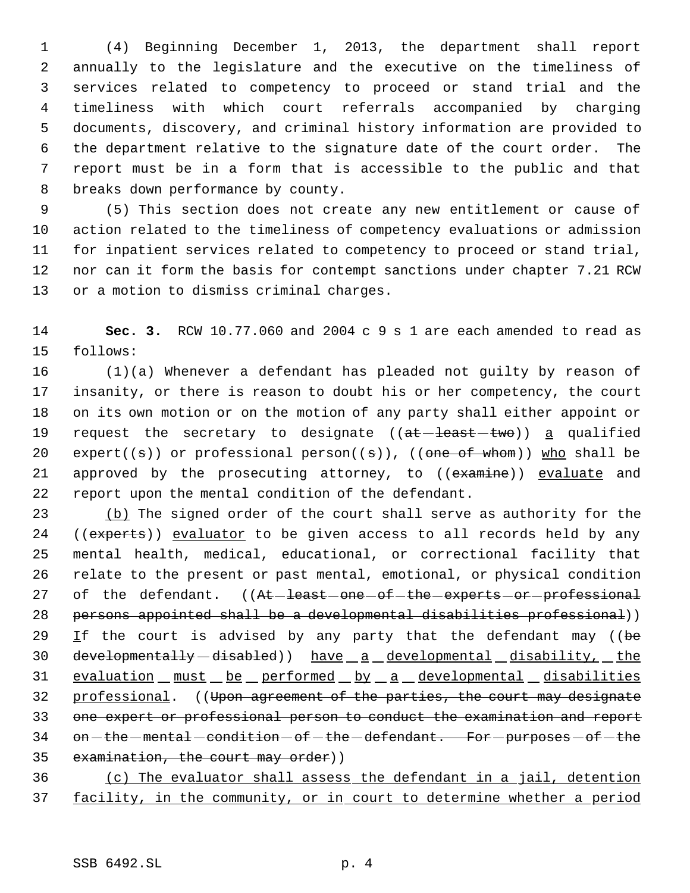(4) Beginning December 1, 2013, the department shall report annually to the legislature and the executive on the timeliness of services related to competency to proceed or stand trial and the timeliness with which court referrals accompanied by charging documents, discovery, and criminal history information are provided to the department relative to the signature date of the court order. The report must be in a form that is accessible to the public and that breaks down performance by county.

 (5) This section does not create any new entitlement or cause of action related to the timeliness of competency evaluations or admission for inpatient services related to competency to proceed or stand trial, nor can it form the basis for contempt sanctions under chapter 7.21 RCW or a motion to dismiss criminal charges.

14 **Sec. 3.** RCW 10.77.060 and 2004 c 9 s 1 are each amended to read as 15 follows:

16 (1)(a) Whenever a defendant has pleaded not guilty by reason of 17 insanity, or there is reason to doubt his or her competency, the court 18 on its own motion or on the motion of any party shall either appoint or 19 request the secretary to designate  $((a<sub>t</sub> - least-two)) a <sub>qualified</sub>$ 20 expert( $(\sigma)$ ) or professional person( $(\sigma)$ ), ((one of whom)) who shall be 21 approved by the prosecuting attorney, to ((examine)) evaluate and 22 report upon the mental condition of the defendant.

23 (b) The signed order of the court shall serve as authority for the 24 ((experts)) evaluator to be given access to all records held by any 25 mental health, medical, educational, or correctional facility that 26 relate to the present or past mental, emotional, or physical condition 27 of the defendant. ((At-least-one-of-the-experts-or-professional 28 persons appointed shall be a developmental disabilities professional)) 29 If the court is advised by any party that the defendant may ((be 30 developmentally - disabled)) have a developmental disability, the 31 evaluation must be performed by a developmental disabilities 32 professional. ((Upon agreement of the parties, the court may designate 33 one expert or professional person to conduct the examination and report 34 on - the - mental - condition - of - the - defendant. For - purposes - of - the 35 examination, the court may order))

36 (c) The evaluator shall assess the defendant in a jail, detention 37 facility, in the community, or in court to determine whether a period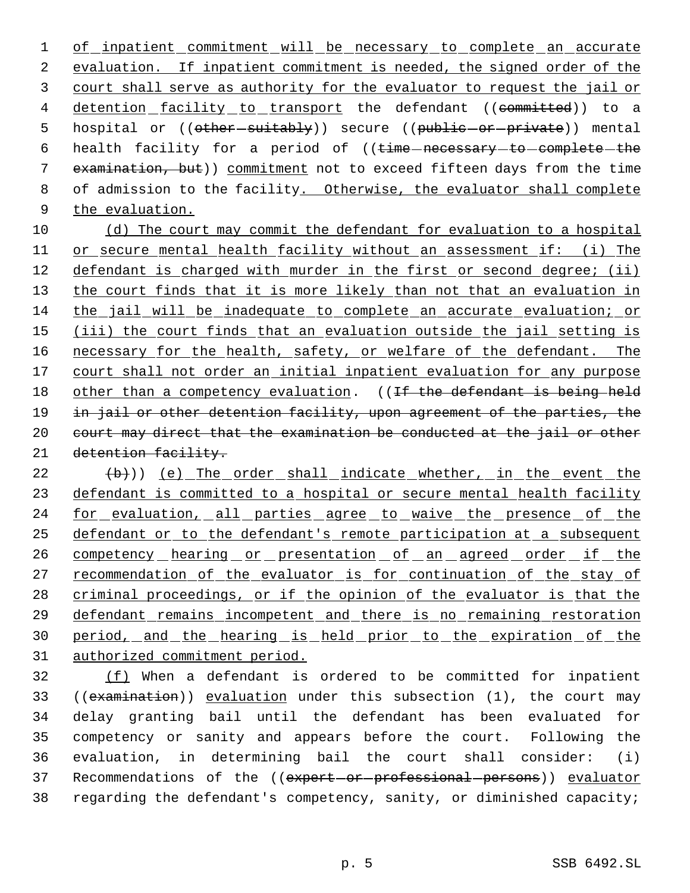1 of inpatient commitment will be necessary to complete an accurate 2 evaluation. If inpatient commitment is needed, the signed order of the 3 court shall serve as authority for the evaluator to request the jail or 4 detention facility to transport the defendant ((committed)) to a 5 hospital or ((other-suitably)) secure ((public-or-private)) mental 6 health facility for a period of ((time necessary to complete the 7 examination, but)) commitment not to exceed fifteen days from the time 8 of admission to the facility. Otherwise, the evaluator shall complete 9 the evaluation.

10 (d) The court may commit the defendant for evaluation to a hospital 11 or secure mental health facility without an assessment if: (i) The 12 defendant is charged with murder in the first or second degree; (ii) 13 the court finds that it is more likely than not that an evaluation in 14 the jail will be inadequate to complete an accurate evaluation; or 15 (iii) the court finds that an evaluation outside the jail setting is 16 necessary for the health, safety, or welfare of the defendant. The 17 court shall not order an initial inpatient evaluation for any purpose 18 other than a competency evaluation. ((If the defendant is being held 19 in jail or other detention facility, upon agreement of the parties, the 20 court may direct that the examination be conducted at the jail or other 21 detention facility.

22 (b)) (e) The order shall indicate whether, in the event the 23 defendant is committed to a hospital or secure mental health facility 24 for evaluation, all parties agree to waive the presence of the 25 defendant or to the defendant's remote participation at a subsequent 26 competency hearing or presentation of an agreed order if the 27 recommendation of the evaluator is for continuation of the stay of 28 criminal proceedings, or if the opinion of the evaluator is that the 29 defendant remains incompetent and there is no remaining restoration 30 period, and the hearing is held prior to the expiration of the 31 authorized commitment period.

 (f) When a defendant is ordered to be committed for inpatient ((examination)) evaluation under this subsection (1), the court may delay granting bail until the defendant has been evaluated for competency or sanity and appears before the court. Following the evaluation, in determining bail the court shall consider: (i) 37 Recommendations of the ((expert-or-professional-persons)) evaluator regarding the defendant's competency, sanity, or diminished capacity;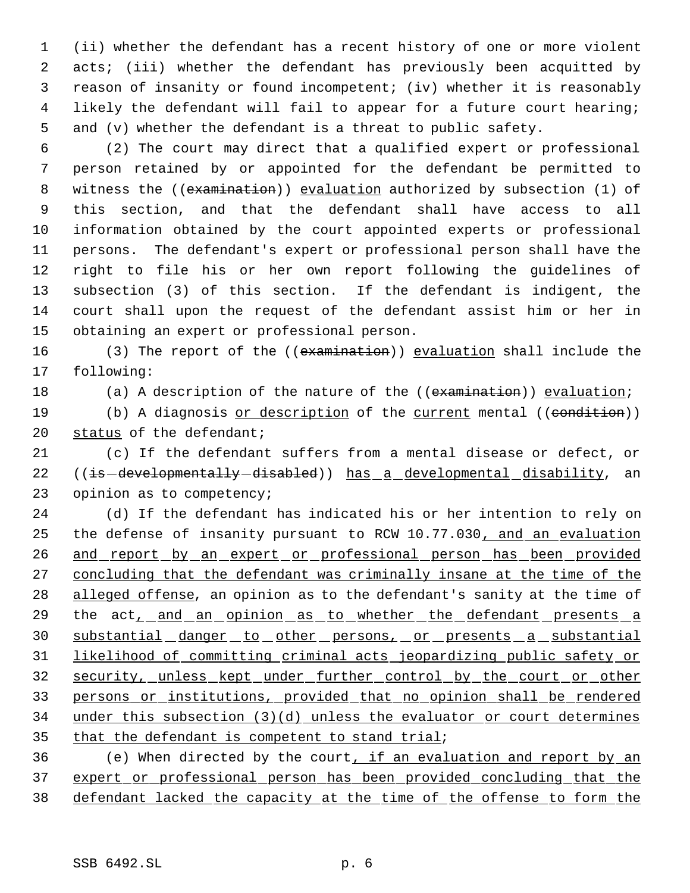(ii) whether the defendant has a recent history of one or more violent acts; (iii) whether the defendant has previously been acquitted by reason of insanity or found incompetent; (iv) whether it is reasonably likely the defendant will fail to appear for a future court hearing; and (v) whether the defendant is a threat to public safety.

 (2) The court may direct that a qualified expert or professional person retained by or appointed for the defendant be permitted to witness the ((examination)) evaluation authorized by subsection (1) of this section, and that the defendant shall have access to all information obtained by the court appointed experts or professional persons. The defendant's expert or professional person shall have the right to file his or her own report following the guidelines of subsection (3) of this section. If the defendant is indigent, the court shall upon the request of the defendant assist him or her in obtaining an expert or professional person.

16 (3) The report of the ((examination)) evaluation shall include the following:

18 (a) A description of the nature of the ((examination)) evaluation;

19 (b) A diagnosis or description of the current mental ((condition)) 20 status of the defendant;

 (c) If the defendant suffers from a mental disease or defect, or 22 ((is-developmentally-disabled)) has a developmental disability, an opinion as to competency;

 (d) If the defendant has indicated his or her intention to rely on the defense of insanity pursuant to RCW 10.77.030, and an evaluation 26 and report by an expert or professional person has been provided 27 concluding that the defendant was criminally insane at the time of the 28 alleged offense, an opinion as to the defendant's sanity at the time of 29 the act, and an opinion as to whether the defendant presents a 30 substantial danger to other persons, or presents a substantial likelihood of committing criminal acts jeopardizing public safety or 32 security, unless kept under further control by the court or other persons or institutions, provided that no opinion shall be rendered under this subsection (3)(d) unless the evaluator or court determines 35 that the defendant is competent to stand trial;

36 (e) When directed by the court, if an evaluation and report by an expert or professional person has been provided concluding that the defendant lacked the capacity at the time of the offense to form the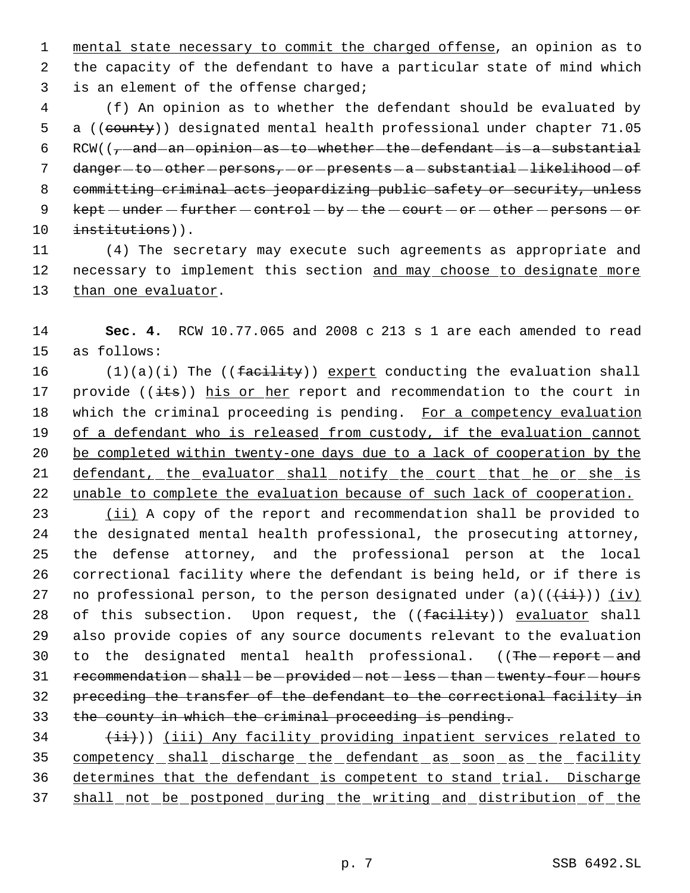1 mental state necessary to commit the charged offense, an opinion as to 2 the capacity of the defendant to have a particular state of mind which 3 is an element of the offense charged;

 4 (f) An opinion as to whether the defendant should be evaluated by 5 a ((county)) designated mental health professional under chapter 71.05 6  $RCW($   $(-$  and an opinion as to whether the defendant is a substantial 7 danger-to-other-persons,-or-presents-a-substantial-likelihood-of 8 committing criminal acts jeopardizing public safety or security, unless 9  $kept$  -under -further -control - by -the -court - or -other -persons - or 10 institutions)).

11 (4) The secretary may execute such agreements as appropriate and 12 necessary to implement this section and may choose to designate more 13 than one evaluator.

14 **Sec. 4.** RCW 10.77.065 and 2008 c 213 s 1 are each amended to read 15 as follows:

16  $(1)(a)(i)$  The  $((\overline{factility}))(\overline{expect}$  conducting the evaluation shall 17 provide  $((i \text{ts}))$  his or her report and recommendation to the court in 18 which the criminal proceeding is pending. For a competency evaluation 19 of a defendant who is released from custody, if the evaluation cannot 20 be completed within twenty-one days due to a lack of cooperation by the 21 defendant, the evaluator shall notify the court that he or she is 22 unable to complete the evaluation because of such lack of cooperation.

23 (ii) A copy of the report and recommendation shall be provided to 24 the designated mental health professional, the prosecuting attorney, 25 the defense attorney, and the professional person at the local 26 correctional facility where the defendant is being held, or if there is 27 no professional person, to the person designated under  $(a)((\overrightarrow{ii}))$   $(iv)$ 28 of this subsection. Upon request, the ((facility)) evaluator shall 29 also provide copies of any source documents relevant to the evaluation 30 to the designated mental health professional. ((The report and 31 recommendation - shall - be - provided - not - less - than - twenty-four - hours 32 preceding the transfer of the defendant to the correctional facility in 33 the county in which the criminal proceeding is pending.

34 (ii)) (iii) Any facility providing inpatient services related to 35 competency shall discharge the defendant as soon as the facility 36 determines that the defendant is competent to stand trial. Discharge 37 shall not be postponed during the writing and distribution of the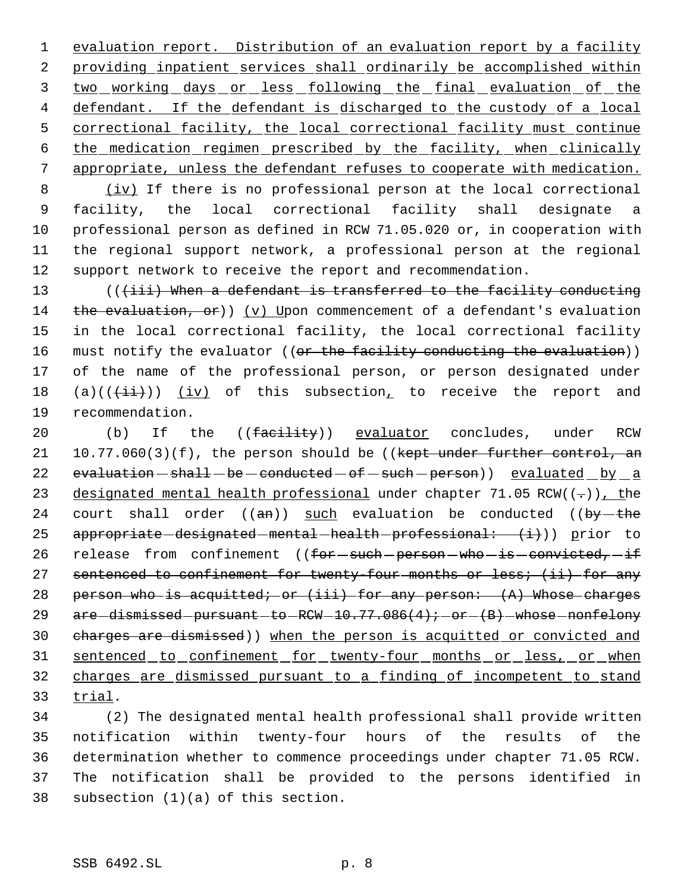evaluation report. Distribution of an evaluation report by a facility providing inpatient services shall ordinarily be accomplished within 3 two working days or less following the final evaluation of the 4 defendant. If the defendant is discharged to the custody of a local correctional facility, the local correctional facility must continue the medication regimen prescribed by the facility, when clinically appropriate, unless the defendant refuses to cooperate with medication.

8 (iv) If there is no professional person at the local correctional facility, the local correctional facility shall designate a professional person as defined in RCW 71.05.020 or, in cooperation with the regional support network, a professional person at the regional support network to receive the report and recommendation.

13 (((iii) When a defendant is transferred to the facility conducting 14  $the evaluation, or)$  (v) Upon commencement of a defendant's evaluation 15 in the local correctional facility, the local correctional facility 16 must notify the evaluator ((or the facility conducting the evaluation)) 17 of the name of the professional person, or person designated under 18 (a)( $(\frac{1}{11})$ ) (iv) of this subsection, to receive the report and 19 recommendation.

20 (b) If the ((facility)) evaluator concludes, under RCW 21 10.77.060(3)(f), the person should be ((kept under further control, an 22  $evaluation = shall - be - conducted - of - such - person)$  evaluated by a 23 designated mental health professional under chapter 71.05 RCW( $(-)$ ), the 24 court shall order  $((an))$  such evaluation be conducted  $((by - the$ 25 appropriate designated mental health professional:  $(i)$ ) prior to 26 release from confinement (( $f$ or-such-person-who-is-convicted,-if 27 sentenced to confinement for twenty-four months or less; (ii) for any 28 person who is acquitted; or (iii) for any person: (A) Whose charges 29  $are-dissmissed-pursuant-to-RCW-10.77.086(4) *i*-or-(B)-whose-nonfelony$ 30 charges are dismissed)) when the person is acquitted or convicted and 31 sentenced to confinement for twenty-four months or less, or when 32 charges are dismissed pursuant to a finding of incompetent to stand 33 trial.

 (2) The designated mental health professional shall provide written notification within twenty-four hours of the results of the determination whether to commence proceedings under chapter 71.05 RCW. The notification shall be provided to the persons identified in subsection (1)(a) of this section.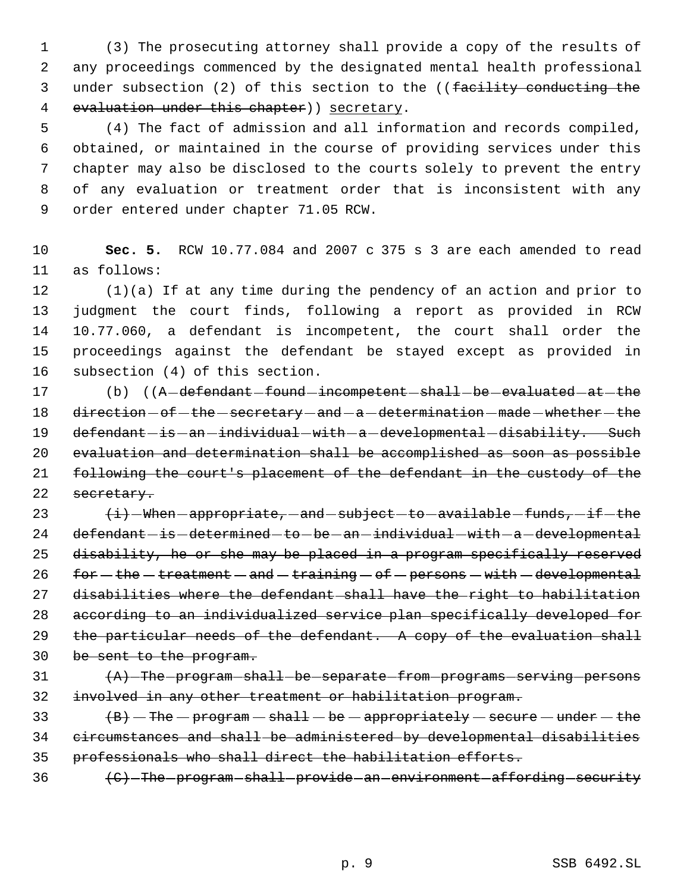(3) The prosecuting attorney shall provide a copy of the results of any proceedings commenced by the designated mental health professional 3 under subsection (2) of this section to the ((facility conducting the 4 evaluation under this chapter) ) secretary.

 (4) The fact of admission and all information and records compiled, obtained, or maintained in the course of providing services under this chapter may also be disclosed to the courts solely to prevent the entry of any evaluation or treatment order that is inconsistent with any order entered under chapter 71.05 RCW.

 **Sec. 5.** RCW 10.77.084 and 2007 c 375 s 3 are each amended to read as follows:

 (1)(a) If at any time during the pendency of an action and prior to judgment the court finds, following a report as provided in RCW 10.77.060, a defendant is incompetent, the court shall order the proceedings against the defendant be stayed except as provided in subsection (4) of this section.

17 (b) ((A defendant - found - incompetent - shall - be - evaluated - at - the 18 direction - of - the - secretary - and - a -determination - made - whether - the 19 defendant-is-an-individual-with-a-developmental-disability. Such evaluation and determination shall be accomplished as soon as possible following the court's placement of the defendant in the custody of the secretary.

 $\leftarrow$   $\leftarrow$  When  $-$  appropriate,  $-$  and  $-$  subject  $-$  to  $-$  available  $-$  funds,  $-$  if  $-$  the 24 defendant - is -determined - to -be - an -individual - with - a -developmental disability, he or she may be placed in a program specifically reserved  $for - the - treatment - and - training - of - persons - with - development$  disabilities where the defendant shall have the right to habilitation according to an individualized service plan specifically developed for 29 the particular needs of the defendant. A copy of the evaluation shall be sent to the program.

31 (A) The program shall be separate from programs serving persons involved in any other treatment or habilitation program.

33  $\left\{\text{B}\right\}$  - The - program - shall - be - appropriately - secure - under - the circumstances and shall be administered by developmental disabilities professionals who shall direct the habilitation efforts.

(C) The program shall provide an environment affording security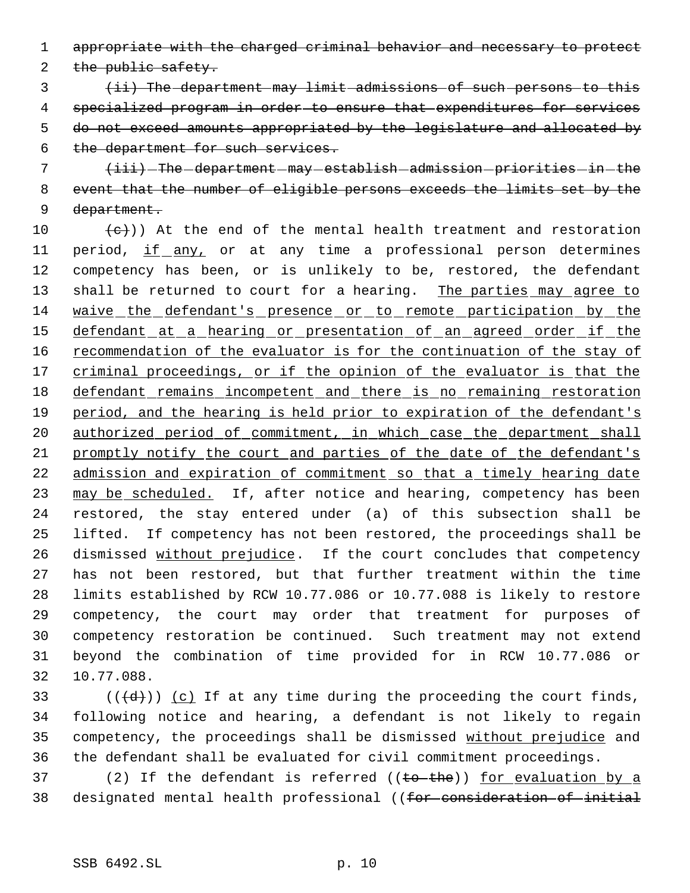1 appropriate with the charged criminal behavior and necessary to protect

2 the public safety.

3 (ii) The department may limit admissions of such persons to this 4 specialized program in order to ensure that expenditures for services 5 do not exceed amounts appropriated by the legislature and allocated by 6 the department for such services.

7 (iii) The department may establish admission priorities in the 8 event that the number of eligible persons exceeds the limits set by the 9 department.

 $\left( e\right)$ ) At the end of the mental health treatment and restoration 11 period, if any, or at any time a professional person determines competency has been, or is unlikely to be, restored, the defendant 13 shall be returned to court for a hearing. The parties may agree to waive the defendant's presence or to remote participation by the 15 defendant at a hearing or presentation of an agreed order if the 16 recommendation of the evaluator is for the continuation of the stay of 17 criminal proceedings, or if the opinion of the evaluator is that the defendant remains incompetent and there is no remaining restoration period, and the hearing is held prior to expiration of the defendant's 20 authorized period of commitment, in which case the department shall promptly notify the court and parties of the date of the defendant's admission and expiration of commitment so that a timely hearing date 23 may be scheduled. If, after notice and hearing, competency has been restored, the stay entered under (a) of this subsection shall be lifted. If competency has not been restored, the proceedings shall be 26 dismissed without prejudice. If the court concludes that competency has not been restored, but that further treatment within the time limits established by RCW 10.77.086 or 10.77.088 is likely to restore competency, the court may order that treatment for purposes of competency restoration be continued. Such treatment may not extend beyond the combination of time provided for in RCW 10.77.086 or 10.77.088.

33 ( $(\overline{d})$ ) (c) If at any time during the proceeding the court finds, following notice and hearing, a defendant is not likely to regain competency, the proceedings shall be dismissed without prejudice and the defendant shall be evaluated for civil commitment proceedings.

37 (2) If the defendant is referred ((to the)) for evaluation by a 38 designated mental health professional ((for consideration of initial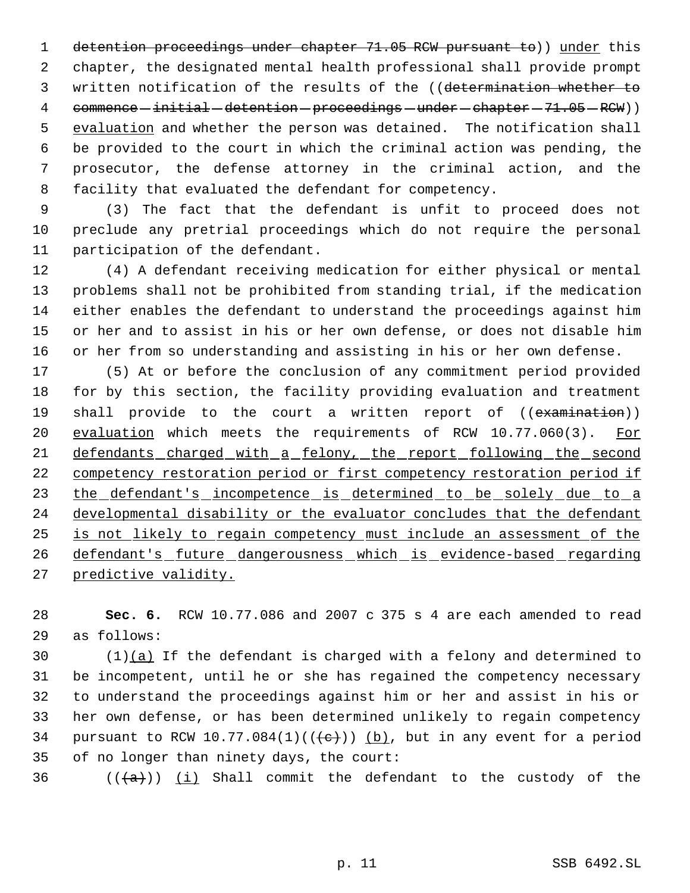1 detention proceedings under chapter 71.05 RCW pursuant to)) under this chapter, the designated mental health professional shall provide prompt written notification of the results of the ((determination whether to 4 commence  $-intial$   $-detention$  -  $preceedings$  -  $under$  -  $chapter$   $-71.05$  -  $RCW$ )) 5 evaluation and whether the person was detained. The notification shall be provided to the court in which the criminal action was pending, the prosecutor, the defense attorney in the criminal action, and the facility that evaluated the defendant for competency.

 (3) The fact that the defendant is unfit to proceed does not preclude any pretrial proceedings which do not require the personal participation of the defendant.

 (4) A defendant receiving medication for either physical or mental problems shall not be prohibited from standing trial, if the medication either enables the defendant to understand the proceedings against him or her and to assist in his or her own defense, or does not disable him or her from so understanding and assisting in his or her own defense.

 (5) At or before the conclusion of any commitment period provided for by this section, the facility providing evaluation and treatment 19 shall provide to the court a written report of ((examination)) 20 evaluation which meets the requirements of RCW 10.77.060(3). For 21 defendants charged with a felony, the report following the second competency restoration period or first competency restoration period if 23 the defendant's incompetence is determined to be solely due to a 24 developmental disability or the evaluator concludes that the defendant 25 is not likely to regain competency must include an assessment of the 26 defendant's future dangerousness which is evidence-based regarding predictive validity.

 **Sec. 6.** RCW 10.77.086 and 2007 c 375 s 4 are each amended to read as follows:

 $(1)(a)$  If the defendant is charged with a felony and determined to be incompetent, until he or she has regained the competency necessary to understand the proceedings against him or her and assist in his or her own defense, or has been determined unlikely to regain competency 34 pursuant to RCW  $10.77.084(1)((e))$  (b), but in any event for a period of no longer than ninety days, the court:

36  $((+a))$   $(i)$  Shall commit the defendant to the custody of the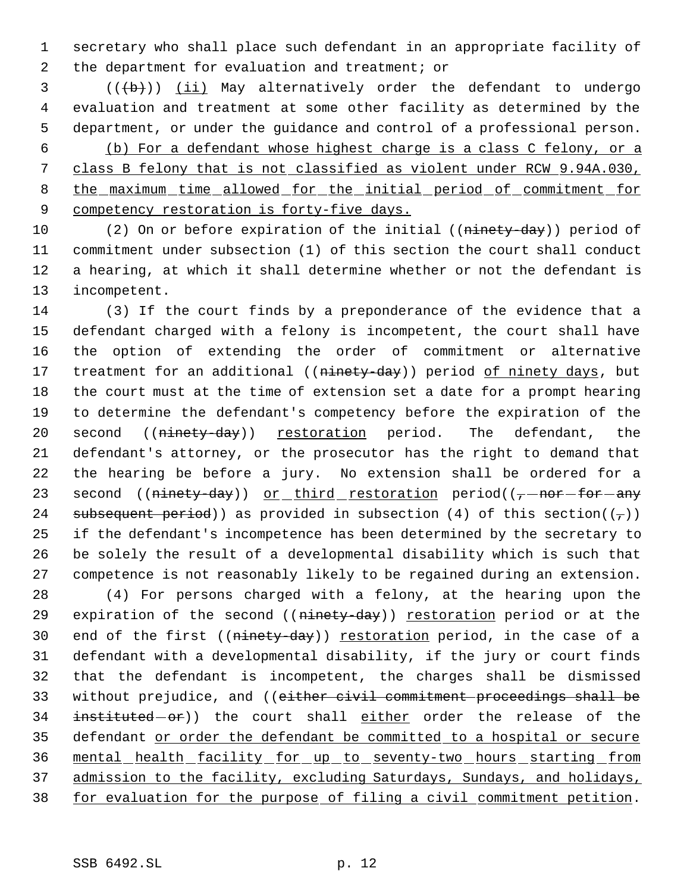secretary who shall place such defendant in an appropriate facility of the department for evaluation and treatment; or

 ( $(\theta)$ ) (ii) May alternatively order the defendant to undergo evaluation and treatment at some other facility as determined by the department, or under the guidance and control of a professional person. (b) For a defendant whose highest charge is a class C felony, or a class B felony that is not classified as violent under RCW 9.94A.030, 8 the maximum time allowed for the initial period of commitment for 9 competency restoration is forty-five days.

10 (2) On or before expiration of the initial ((ninety-day)) period of commitment under subsection (1) of this section the court shall conduct a hearing, at which it shall determine whether or not the defendant is incompetent.

 (3) If the court finds by a preponderance of the evidence that a defendant charged with a felony is incompetent, the court shall have the option of extending the order of commitment or alternative 17 treatment for an additional ((ninety-day)) period of ninety days, but the court must at the time of extension set a date for a prompt hearing to determine the defendant's competency before the expiration of the 20 second ((ninety-day)) restoration period. The defendant, the defendant's attorney, or the prosecutor has the right to demand that the hearing be before a jury. No extension shall be ordered for a 23 second (( $n$ inety-day)) or third restoration period(( $-$ nor-for-any 24 subsequent period)) as provided in subsection (4) of this section( $(\tau)$ ) if the defendant's incompetence has been determined by the secretary to be solely the result of a developmental disability which is such that competence is not reasonably likely to be regained during an extension.

 (4) For persons charged with a felony, at the hearing upon the 29 expiration of the second ((ninety-day)) restoration period or at the 30 end of the first ((ninety-day)) restoration period, in the case of a defendant with a developmental disability, if the jury or court finds that the defendant is incompetent, the charges shall be dismissed without prejudice, and ((either civil commitment proceedings shall be 34 instituted - or)) the court shall either order the release of the 35 defendant or order the defendant be committed to a hospital or secure mental health facility for up to seventy-two hours starting from admission to the facility, excluding Saturdays, Sundays, and holidays, for evaluation for the purpose of filing a civil commitment petition.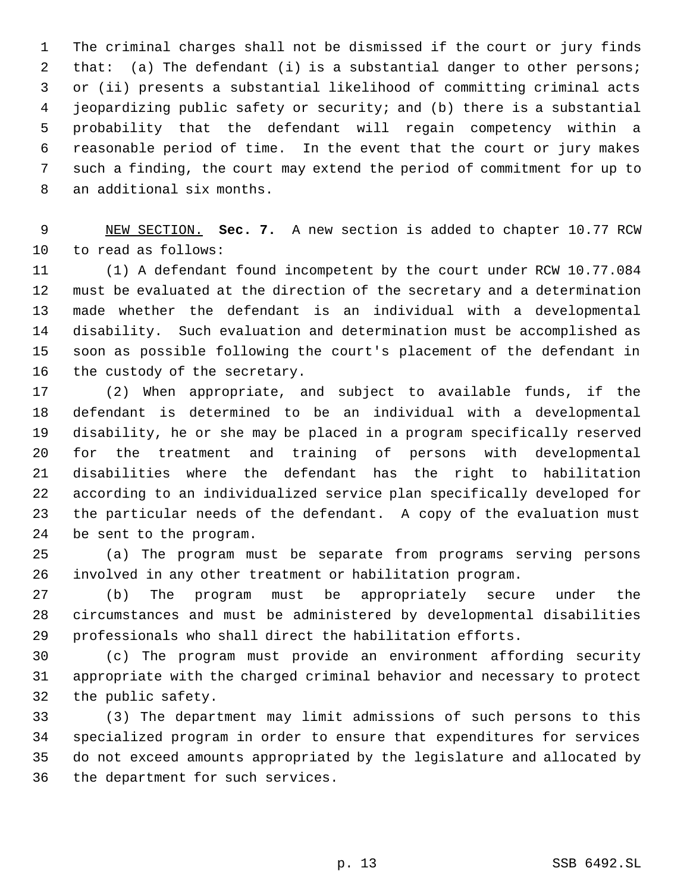The criminal charges shall not be dismissed if the court or jury finds 2 that: (a) The defendant (i) is a substantial danger to other persons; or (ii) presents a substantial likelihood of committing criminal acts jeopardizing public safety or security; and (b) there is a substantial probability that the defendant will regain competency within a reasonable period of time. In the event that the court or jury makes such a finding, the court may extend the period of commitment for up to an additional six months.

 NEW SECTION. **Sec. 7.** A new section is added to chapter 10.77 RCW to read as follows:

 (1) A defendant found incompetent by the court under RCW 10.77.084 must be evaluated at the direction of the secretary and a determination made whether the defendant is an individual with a developmental disability. Such evaluation and determination must be accomplished as soon as possible following the court's placement of the defendant in the custody of the secretary.

 (2) When appropriate, and subject to available funds, if the defendant is determined to be an individual with a developmental disability, he or she may be placed in a program specifically reserved for the treatment and training of persons with developmental disabilities where the defendant has the right to habilitation according to an individualized service plan specifically developed for the particular needs of the defendant. A copy of the evaluation must be sent to the program.

 (a) The program must be separate from programs serving persons involved in any other treatment or habilitation program.

 (b) The program must be appropriately secure under the circumstances and must be administered by developmental disabilities professionals who shall direct the habilitation efforts.

 (c) The program must provide an environment affording security appropriate with the charged criminal behavior and necessary to protect the public safety.

 (3) The department may limit admissions of such persons to this specialized program in order to ensure that expenditures for services do not exceed amounts appropriated by the legislature and allocated by the department for such services.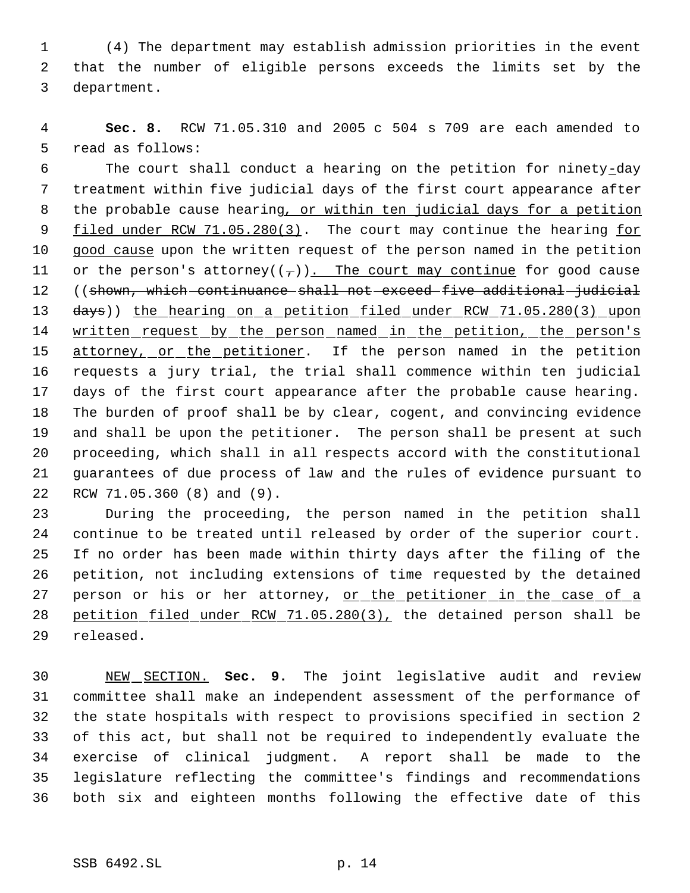(4) The department may establish admission priorities in the event that the number of eligible persons exceeds the limits set by the department.

 **Sec. 8.** RCW 71.05.310 and 2005 c 504 s 709 are each amended to read as follows:

 The court shall conduct a hearing on the petition for ninety-day treatment within five judicial days of the first court appearance after 8 the probable cause hearing, or within ten judicial days for a petition 9 filed under RCW 71.05.280(3). The court may continue the hearing for 10 good cause upon the written request of the person named in the petition 11 or the person's attorney( $(\tau)$ ). The court may continue for good cause 12 ((shown, which continuance shall not exceed five additional judicial 13 days)) the hearing on a petition filed under RCW 71.05.280(3) upon 14 written request by the person named in the petition, the person's 15 attorney, or the petitioner. If the person named in the petition requests a jury trial, the trial shall commence within ten judicial days of the first court appearance after the probable cause hearing. The burden of proof shall be by clear, cogent, and convincing evidence and shall be upon the petitioner. The person shall be present at such proceeding, which shall in all respects accord with the constitutional guarantees of due process of law and the rules of evidence pursuant to RCW 71.05.360 (8) and (9).

 During the proceeding, the person named in the petition shall continue to be treated until released by order of the superior court. If no order has been made within thirty days after the filing of the petition, not including extensions of time requested by the detained 27 person or his or her attorney, or the petitioner in the case of a 28 petition filed under RCW 71.05.280(3), the detained person shall be released.

 NEW SECTION. **Sec. 9.** The joint legislative audit and review committee shall make an independent assessment of the performance of the state hospitals with respect to provisions specified in section 2 of this act, but shall not be required to independently evaluate the exercise of clinical judgment. A report shall be made to the legislature reflecting the committee's findings and recommendations both six and eighteen months following the effective date of this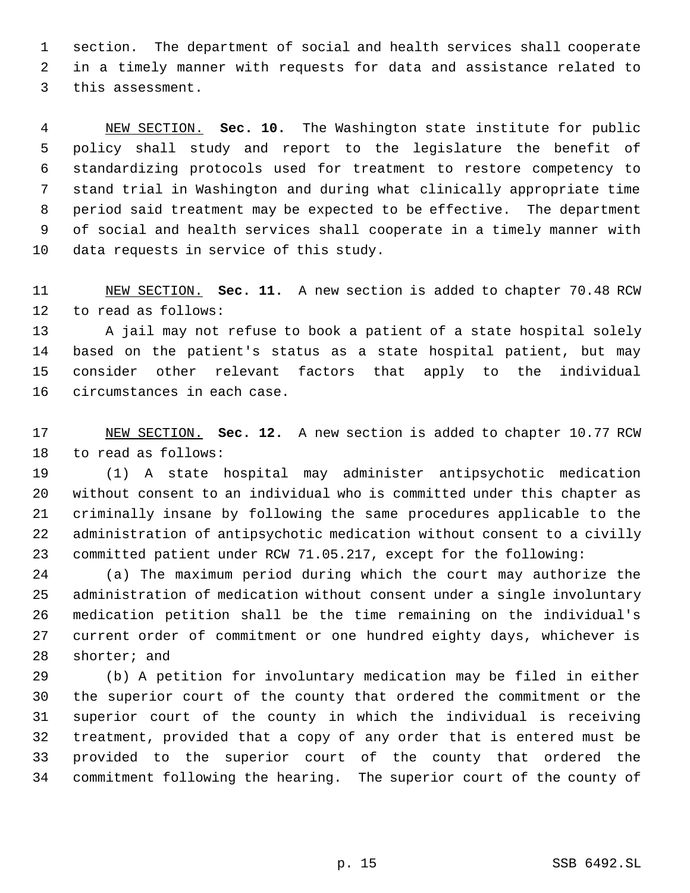section. The department of social and health services shall cooperate in a timely manner with requests for data and assistance related to this assessment.

 NEW SECTION. **Sec. 10.** The Washington state institute for public policy shall study and report to the legislature the benefit of standardizing protocols used for treatment to restore competency to stand trial in Washington and during what clinically appropriate time period said treatment may be expected to be effective. The department of social and health services shall cooperate in a timely manner with data requests in service of this study.

 NEW SECTION. **Sec. 11.** A new section is added to chapter 70.48 RCW to read as follows:

13 A jail may not refuse to book a patient of a state hospital solely based on the patient's status as a state hospital patient, but may consider other relevant factors that apply to the individual circumstances in each case.

 NEW SECTION. **Sec. 12.** A new section is added to chapter 10.77 RCW to read as follows:

 (1) A state hospital may administer antipsychotic medication without consent to an individual who is committed under this chapter as criminally insane by following the same procedures applicable to the administration of antipsychotic medication without consent to a civilly committed patient under RCW 71.05.217, except for the following:

 (a) The maximum period during which the court may authorize the administration of medication without consent under a single involuntary medication petition shall be the time remaining on the individual's current order of commitment or one hundred eighty days, whichever is shorter; and

 (b) A petition for involuntary medication may be filed in either the superior court of the county that ordered the commitment or the superior court of the county in which the individual is receiving treatment, provided that a copy of any order that is entered must be provided to the superior court of the county that ordered the commitment following the hearing. The superior court of the county of